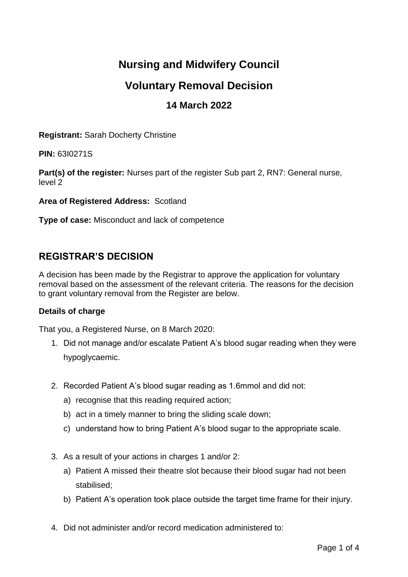# **Nursing and Midwifery Council**

# **Voluntary Removal Decision**

## **14 March 2022**

**Registrant:** Sarah Docherty Christine

**PIN:** 63I0271S

**Part(s) of the register:** Nurses part of the register Sub part 2, RN7: General nurse, level 2

**Area of Registered Address:** Scotland

**Type of case:** Misconduct and lack of competence

## **REGISTRAR'S DECISION**

A decision has been made by the Registrar to approve the application for voluntary removal based on the assessment of the relevant criteria. The reasons for the decision to grant voluntary removal from the Register are below.

## **Details of charge**

That you, a Registered Nurse, on 8 March 2020:

- 1. Did not manage and/or escalate Patient A's blood sugar reading when they were hypoglycaemic.
- 2. Recorded Patient A's blood sugar reading as 1.6mmol and did not:
	- a) recognise that this reading required action;
	- b) act in a timely manner to bring the sliding scale down;
	- c) understand how to bring Patient A's blood sugar to the appropriate scale.
- 3. As a result of your actions in charges 1 and/or 2:
	- a) Patient A missed their theatre slot because their blood sugar had not been stabilised;
	- b) Patient A's operation took place outside the target time frame for their injury.
- 4. Did not administer and/or record medication administered to: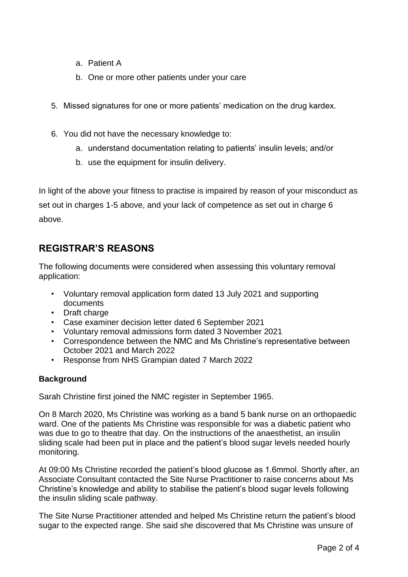- a. Patient A
- b. One or more other patients under your care
- 5. Missed signatures for one or more patients' medication on the drug kardex.
- 6. You did not have the necessary knowledge to:
	- a. understand documentation relating to patients' insulin levels; and/or
	- b. use the equipment for insulin delivery.

In light of the above your fitness to practise is impaired by reason of your misconduct as set out in charges 1-5 above, and your lack of competence as set out in charge 6 above.

## **REGISTRAR'S REASONS**

The following documents were considered when assessing this voluntary removal application:

- Voluntary removal application form dated 13 July 2021 and supporting documents
- Draft charge
- Case examiner decision letter dated 6 September 2021
- Voluntary removal admissions form dated 3 November 2021
- Correspondence between the NMC and Ms Christine's representative between October 2021 and March 2022
- Response from NHS Grampian dated 7 March 2022

## **Background**

Sarah Christine first joined the NMC register in September 1965.

On 8 March 2020, Ms Christine was working as a band 5 bank nurse on an orthopaedic ward. One of the patients Ms Christine was responsible for was a diabetic patient who was due to go to theatre that day. On the instructions of the anaesthetist, an insulin sliding scale had been put in place and the patient's blood sugar levels needed hourly monitoring.

At 09:00 Ms Christine recorded the patient's blood glucose as 1.6mmol. Shortly after, an Associate Consultant contacted the Site Nurse Practitioner to raise concerns about Ms Christine's knowledge and ability to stabilise the patient's blood sugar levels following the insulin sliding scale pathway.

The Site Nurse Practitioner attended and helped Ms Christine return the patient's blood sugar to the expected range. She said she discovered that Ms Christine was unsure of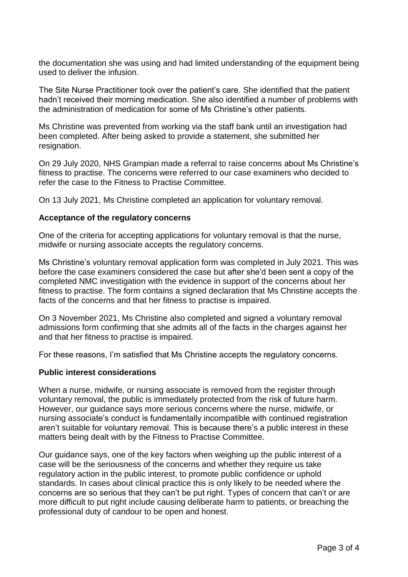the documentation she was using and had limited understanding of the equipment being used to deliver the infusion.

The Site Nurse Practitioner took over the patient's care. She identified that the patient hadn't received their morning medication. She also identified a number of problems with the administration of medication for some of Ms Christine's other patients.

Ms Christine was prevented from working via the staff bank until an investigation had been completed. After being asked to provide a statement, she submitted her resignation.

On 29 July 2020, NHS Grampian made a referral to raise concerns about Ms Christine's fitness to practise. The concerns were referred to our case examiners who decided to refer the case to the Fitness to Practise Committee.

On 13 July 2021, Ms Christine completed an application for voluntary removal.

#### **Acceptance of the regulatory concerns**

One of the criteria for accepting applications for voluntary removal is that the nurse, midwife or nursing associate accepts the regulatory concerns.

Ms Christine's voluntary removal application form was completed in July 2021. This was before the case examiners considered the case but after she'd been sent a copy of the completed NMC investigation with the evidence in support of the concerns about her fitness to practise. The form contains a signed declaration that Ms Christine accepts the facts of the concerns and that her fitness to practise is impaired.

On 3 November 2021, Ms Christine also completed and signed a voluntary removal admissions form confirming that she admits all of the facts in the charges against her and that her fitness to practise is impaired.

For these reasons, I'm satisfied that Ms Christine accepts the regulatory concerns.

### **Public interest considerations**

When a nurse, midwife, or nursing associate is removed from the register through voluntary removal, the public is immediately protected from the risk of future harm. However, our guidance says more serious concerns where the nurse, midwife, or nursing associate's conduct is fundamentally incompatible with continued registration aren't suitable for voluntary removal. This is because there's a public interest in these matters being dealt with by the Fitness to Practise Committee.

Our guidance says, one of the key factors when weighing up the public interest of a case will be the seriousness of the concerns and whether they require us take regulatory action in the public interest, to promote public confidence or uphold standards. In cases about clinical practice this is only likely to be needed where the concerns are so serious that they can't be put right. Types of concern that can't or are more difficult to put right include causing deliberate harm to patients, or breaching the professional duty of candour to be open and honest.